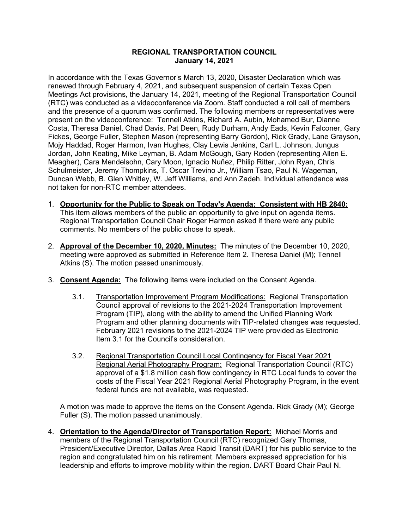## **REGIONAL TRANSPORTATION COUNCIL January 14, 2021**

In accordance with the Texas Governor's March 13, 2020, Disaster Declaration which was renewed through February 4, 2021, and subsequent suspension of certain Texas Open Meetings Act provisions, the January 14, 2021, meeting of the Regional Transportation Council (RTC) was conducted as a videoconference via Zoom. Staff conducted a roll call of members and the presence of a quorum was confirmed. The following members or representatives were present on the videoconference: Tennell Atkins, Richard A. Aubin, Mohamed Bur, Dianne Costa, Theresa Daniel, Chad Davis, Pat Deen, Rudy Durham, Andy Eads, Kevin Falconer, Gary Fickes, George Fuller, Stephen Mason (representing Barry Gordon), Rick Grady, Lane Grayson, Mojy Haddad, Roger Harmon, Ivan Hughes, Clay Lewis Jenkins, Carl L. Johnson, Jungus Jordan, John Keating, Mike Leyman, B. Adam McGough, Gary Roden (representing Allen E. Meagher), Cara Mendelsohn, Cary Moon, Ignacio Nuñez, Philip Ritter, John Ryan, Chris Schulmeister, Jeremy Thompkins, T. Oscar Trevino Jr., William Tsao, Paul N. Wageman, Duncan Webb, B. Glen Whitley, W. Jeff Williams, and Ann Zadeh. Individual attendance was not taken for non-RTC member attendees.

- 1. **Opportunity for the Public to Speak on Today's Agenda: Consistent with HB 2840:** This item allows members of the public an opportunity to give input on agenda items. Regional Transportation Council Chair Roger Harmon asked if there were any public comments. No members of the public chose to speak.
- 2. **Approval of the December 10, 2020, Minutes:** The minutes of the December 10, 2020, meeting were approved as submitted in Reference Item 2. Theresa Daniel (M); Tennell Atkins (S). The motion passed unanimously.
- 3. **Consent Agenda:** The following items were included on the Consent Agenda.
	- 3.1. Transportation Improvement Program Modifications: Regional Transportation Council approval of revisions to the 2021-2024 Transportation Improvement Program (TIP), along with the ability to amend the Unified Planning Work Program and other planning documents with TIP-related changes was requested. February 2021 revisions to the 2021-2024 TIP were provided as Electronic Item 3.1 for the Council's consideration.
	- 3.2. Regional Transportation Council Local Contingency for Fiscal Year 2021 Regional Aerial Photography Program: Regional Transportation Council (RTC) approval of a \$1.8 million cash flow contingency in RTC Local funds to cover the costs of the Fiscal Year 2021 Regional Aerial Photography Program, in the event federal funds are not available, was requested.

A motion was made to approve the items on the Consent Agenda. Rick Grady (M); George Fuller (S). The motion passed unanimously.

4. **Orientation to the Agenda/Director of Transportation Report:** Michael Morris and members of the Regional Transportation Council (RTC) recognized Gary Thomas, President/Executive Director, Dallas Area Rapid Transit (DART) for his public service to the region and congratulated him on his retirement. Members expressed appreciation for his leadership and efforts to improve mobility within the region. DART Board Chair Paul N.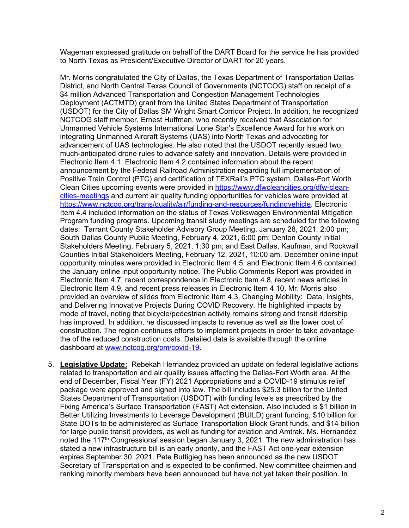Wageman expressed gratitude on behalf of the DART Board for the service he has provided to North Texas as President/Executive Director of DART for 20 years.

Mr. Morris congratulated the City of Dallas, the Texas Department of Transportation Dallas District, and North Central Texas Council of Governments (NCTCOG) staff on receipt of a \$4 million Advanced Transportation and Congestion Management Technologies Deployment (ACTMTD) grant from the United States Department of Transportation (USDOT) for the City of Dallas SM Wright Smart Corridor Project. In addition, he recognized NCTCOG staff member, Ernest Huffman, who recently received that Association for Unmanned Vehicle Systems International Lone Star's Excellence Award for his work on integrating Unmanned Aircraft Systems (UAS) into North Texas and advocating for advancement of UAS technologies. He also noted that the USDOT recently issued two, much-anticipated drone rules to advance safety and innovation. Details were provided in Electronic Item 4.1. Electronic Item 4.2 contained information about the recent announcement by the Federal Railroad Administration regarding full implementation of Positive Train Control (PTC) and certification of TEXRail's PTC system. Dallas-Fort Worth Clean Cities upcoming events were provided in [https://www.dfwcleancities.org/dfw-clean](https://www.dfwcleancities.org/dfw-clean-cities-meetings)[cities-meetings](https://www.dfwcleancities.org/dfw-clean-cities-meetings) and current air quality funding opportunities for vehicles were provided at [https://www.nctcog.org/trans/quality/air/funding-and-resources/fundingvehicle.](https://www.nctcog.org/trans/quality/air/funding-and-resources/fundingvehicle) Electronic Item 4.4 included information on the status of Texas Volkswagen Environmental Mitigation Program funding programs. Upcoming transit study meetings are scheduled for the following dates: Tarrant County Stakeholder Advisory Group Meeting, January 28, 2021, 2:00 pm; South Dallas County Public Meeting, February 4, 2021, 6:00 pm; Denton County Initial Stakeholders Meeting, February 5, 2021, 1:30 pm; and East Dallas, Kaufman, and Rockwall Counties Initial Stakeholders Meeting, February 12, 2021, 10:00 am. December online input opportunity minutes were provided in Electronic Item 4.5, and Electronic Item 4.6 contained the January online input opportunity notice. The Public Comments Report was provided in Electronic Item 4.7, recent correspondence in Electronic Item 4.8, recent news articles in Electronic Item 4.9, and recent press releases in Electronic Item 4.10. Mr. Morris also provided an overview of slides from Electronic Item 4.3, Changing Mobility: Data, Insights, and Delivering Innovative Projects During COVID Recovery. He highlighted impacts by mode of travel, noting that bicycle/pedestrian activity remains strong and transit ridership has improved. In addition, he discussed impacts to revenue as well as the lower cost of construction. The region continues efforts to implement projects in order to take advantage the of the reduced construction costs. Detailed data is available through the online dashboard at [www.nctcog.org/pm/covid-19.](http://www.nctcog.org/pm/covid-19)

5. **Legislative Update:** Rebekah Hernandez provided an update on federal legislative actions related to transportation and air quality issues affecting the Dallas-Fort Worth area. At the end of December, Fiscal Year (FY) 2021 Appropriations and a COVID-19 stimulus relief package were approved and signed into law. The bill includes \$25.3 billion for the United States Department of Transportation (USDOT) with funding levels as prescribed by the Fixing America's Surface Transportation (FAST) Act extension. Also included is \$1 billion in Better Utilizing Investments to Leverage Development (BUILD) grant funding, \$10 billion for State DOTs to be administered as Surface Transportation Block Grant funds, and \$14 billion for large public transit providers, as well as funding for aviation and Amtrak. Ms. Hernandez noted the 117<sup>th</sup> Congressional session began January 3, 2021. The new administration has stated a new infrastructure bill is an early priority, and the FAST Act one-year extension expires September 30, 2021. Pete Buttigieg has been announced as the new USDOT Secretary of Transportation and is expected to be confirmed. New committee chairmen and ranking minority members have been announced but have not yet taken their position. In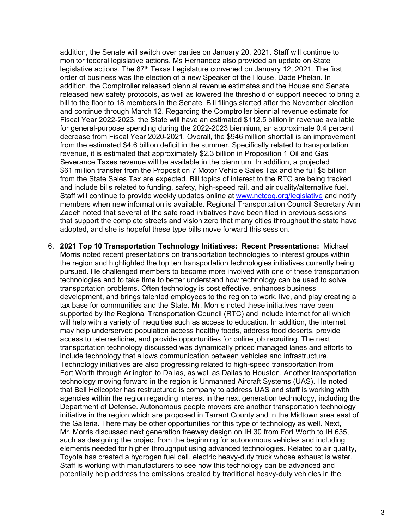addition, the Senate will switch over parties on January 20, 2021. Staff will continue to monitor federal legislative actions. Ms Hernandez also provided an update on State legislative actions. The 87<sup>th</sup> Texas Legislature convened on January 12, 2021. The first order of business was the election of a new Speaker of the House, Dade Phelan. In addition, the Comptroller released biennial revenue estimates and the House and Senate released new safety protocols, as well as lowered the threshold of support needed to bring a bill to the floor to 18 members in the Senate. Bill filings started after the November election and continue through March 12. Regarding the Comptroller biennial revenue estimate for Fiscal Year 2022-2023, the State will have an estimated \$112.5 billion in revenue available for general-purpose spending during the 2022-2023 biennium, an approximate 0.4 percent decrease from Fiscal Year 2020-2021. Overall, the \$946 million shortfall is an improvement from the estimated \$4.6 billion deficit in the summer. Specifically related to transportation revenue, it is estimated that approximately \$2.3 billion in Proposition 1 Oil and Gas Severance Taxes revenue will be available in the biennium. In addition, a projected \$61 million transfer from the Proposition 7 Motor Vehicle Sales Tax and the full \$5 billion from the State Sales Tax are expected. Bill topics of interest to the RTC are being tracked and include bills related to funding, safety, high-speed rail, and air quality/alternative fuel. Staff will continue to provide weekly updates online at [www.nctcog.org/legislative](http://www.nctcog.org/legislative) and notify members when new information is available. Regional Transportation Council Secretary Ann Zadeh noted that several of the safe road initiatives have been filed in previous sessions that support the complete streets and vision zero that many cities throughout the state have adopted, and she is hopeful these type bills move forward this session.

6. **2021 Top 10 Transportation Technology Initiatives: Recent Presentations:** Michael Morris noted recent presentations on transportation technologies to interest groups within the region and highlighted the top ten transportation technologies initiatives currently being pursued. He challenged members to become more involved with one of these transportation technologies and to take time to better understand how technology can be used to solve transportation problems. Often technology is cost effective, enhances business development, and brings talented employees to the region to work, live, and play creating a tax base for communities and the State. Mr. Morris noted these initiatives have been supported by the Regional Transportation Council (RTC) and include internet for all which will help with a variety of inequities such as access to education. In addition, the internet may help underserved population access healthy foods, address food deserts, provide access to telemedicine, and provide opportunities for online job recruiting. The next transportation technology discussed was dynamically priced managed lanes and efforts to include technology that allows communication between vehicles and infrastructure. Technology initiatives are also progressing related to high-speed transportation from Fort Worth through Arlington to Dallas, as well as Dallas to Houston. Another transportation technology moving forward in the region is Unmanned Aircraft Systems (UAS). He noted that Bell Helicopter has restructured is company to address UAS and staff is working with agencies within the region regarding interest in the next generation technology, including the Department of Defense. Autonomous people movers are another transportation technology initiative in the region which are proposed in Tarrant County and in the Midtown area east of the Galleria. There may be other opportunities for this type of technology as well. Next, Mr. Morris discussed next generation freeway design on IH 30 from Fort Worth to IH 635, such as designing the project from the beginning for autonomous vehicles and including elements needed for higher throughput using advanced technologies. Related to air quality, Toyota has created a hydrogen fuel cell, electric heavy-duty truck whose exhaust is water. Staff is working with manufacturers to see how this technology can be advanced and potentially help address the emissions created by traditional heavy-duty vehicles in the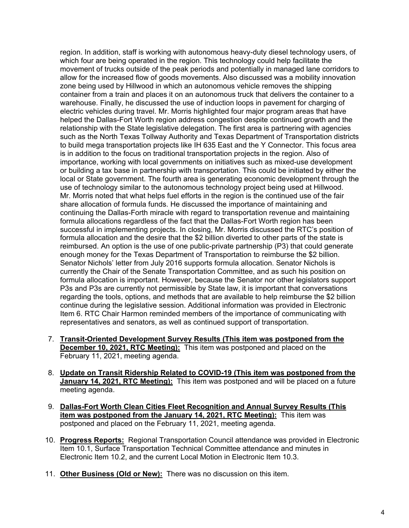region. In addition, staff is working with autonomous heavy-duty diesel technology users, of which four are being operated in the region. This technology could help facilitate the movement of trucks outside of the peak periods and potentially in managed lane corridors to allow for the increased flow of goods movements. Also discussed was a mobility innovation zone being used by Hillwood in which an autonomous vehicle removes the shipping container from a train and places it on an autonomous truck that delivers the container to a warehouse. Finally, he discussed the use of induction loops in pavement for charging of electric vehicles during travel. Mr. Morris highlighted four major program areas that have helped the Dallas-Fort Worth region address congestion despite continued growth and the relationship with the State legislative delegation. The first area is partnering with agencies such as the North Texas Tollway Authority and Texas Department of Transportation districts to build mega transportation projects like IH 635 East and the Y Connector. This focus area is in addition to the focus on traditional transportation projects in the region. Also of importance, working with local governments on initiatives such as mixed-use development or building a tax base in partnership with transportation. This could be initiated by either the local or State government. The fourth area is generating economic development through the use of technology similar to the autonomous technology project being used at Hillwood. Mr. Morris noted that what helps fuel efforts in the region is the continued use of the fair share allocation of formula funds. He discussed the importance of maintaining and continuing the Dallas-Forth miracle with regard to transportation revenue and maintaining formula allocations regardless of the fact that the Dallas-Fort Worth region has been successful in implementing projects. In closing, Mr. Morris discussed the RTC's position of formula allocation and the desire that the \$2 billion diverted to other parts of the state is reimbursed. An option is the use of one public-private partnership (P3) that could generate enough money for the Texas Department of Transportation to reimburse the \$2 billion. Senator Nichols' letter from July 2016 supports formula allocation. Senator Nichols is currently the Chair of the Senate Transportation Committee, and as such his position on formula allocation is important. However, because the Senator nor other legislators support P3s and P3s are currently not permissible by State law, it is important that conversations regarding the tools, options, and methods that are available to help reimburse the \$2 billion continue during the legislative session. Additional information was provided in Electronic Item 6. RTC Chair Harmon reminded members of the importance of communicating with representatives and senators, as well as continued support of transportation.

- 7. **Transit-Oriented Development Survey Results (This item was postponed from the December 10, 2021, RTC Meeting):** This item was postponed and placed on the February 11, 2021, meeting agenda.
- 8. **Update on Transit Ridership Related to COVID-19 (This item was postponed from the January 14, 2021, RTC Meeting):** This item was postponed and will be placed on a future meeting agenda.
- 9. **Dallas-Fort Worth Clean Cities Fleet Recognition and Annual Survey Results (This item was postponed from the January 14, 2021, RTC Meeting):** This item was postponed and placed on the February 11, 2021, meeting agenda.
- 10. **Progress Reports:** Regional Transportation Council attendance was provided in Electronic Item 10.1, Surface Transportation Technical Committee attendance and minutes in Electronic Item 10.2, and the current Local Motion in Electronic Item 10.3.
- 11. **Other Business (Old or New):** There was no discussion on this item.